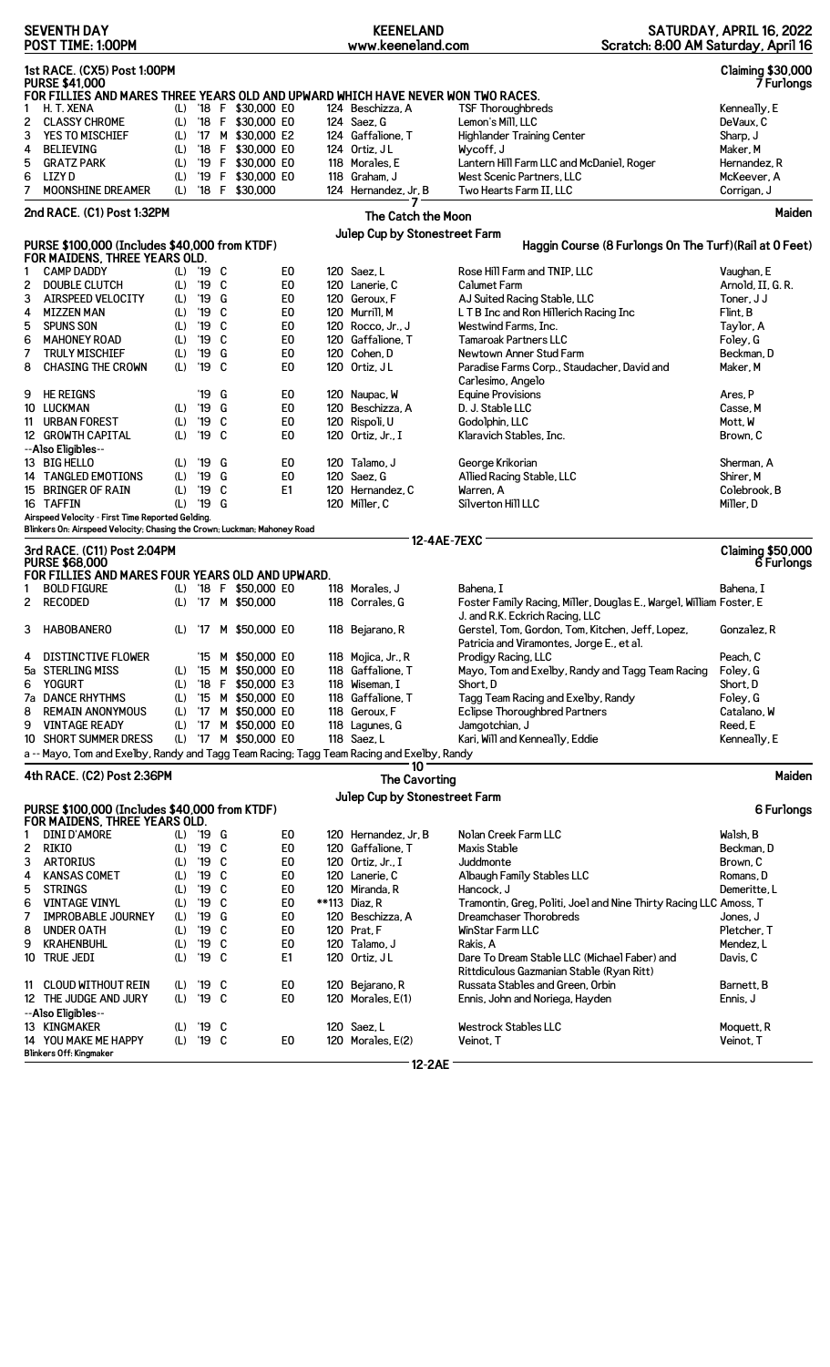|                                                                                   | <b>SEVENTH DAY</b><br>POST TIME: 1:00PM                                                        |            |                |        |                                         |                                  | <b>KEENELAND</b><br>www.keeneland.com |                                               | Scratch: 8:00 AM Saturday, April 16                                                       | SATURDAY, APRIL 16, 2022               |
|-----------------------------------------------------------------------------------|------------------------------------------------------------------------------------------------|------------|----------------|--------|-----------------------------------------|----------------------------------|---------------------------------------|-----------------------------------------------|-------------------------------------------------------------------------------------------|----------------------------------------|
|                                                                                   | 1st RACE. (CX5) Post 1:00PM<br><b>Claiming \$30,000</b><br><b>PURSE \$41,000</b><br>7 Furlongs |            |                |        |                                         |                                  |                                       |                                               |                                                                                           |                                        |
|                                                                                   | FOR FILLIES AND MARES THREE YEARS OLD AND UPWARD WHICH HAVE NEVER WON TWO RACES.               |            |                |        |                                         |                                  |                                       |                                               |                                                                                           |                                        |
| 1<br>2                                                                            | H. T. XENA<br><b>CLASSY CHROME</b>                                                             | (L)<br>(L) |                |        | '18 F \$30,000 E0<br>'18 F \$30,000 E0  |                                  | 124 Beschizza, A<br>124 Saez, G       | <b>TSF Thoroughbreds</b><br>Lemon's Mill, LLC |                                                                                           | Kenneally, E<br>DeVaux, C              |
| 3                                                                                 | YES TO MISCHIEF                                                                                | (L)        |                |        | '17 M \$30,000 E2                       |                                  | 124 Gaffalione, T                     |                                               | <b>Highlander Training Center</b>                                                         | Sharp, J                               |
| 4                                                                                 | <b>BELIEVING</b>                                                                               | (L)        |                |        | '18 F \$30,000 E0                       |                                  | 124 Ortiz, JL                         | Wycoff, J                                     |                                                                                           | Maker, M                               |
| 5                                                                                 | <b>GRATZ PARK</b>                                                                              | (L)        |                |        | '19 F \$30,000 E0                       |                                  | 118 Morales, E                        |                                               | Lantern Hill Farm LLC and McDaniel, Roger                                                 | Hernandez, R                           |
| 6                                                                                 | <b>LIZYD</b>                                                                                   | (L)        |                |        | '19 F \$30,000 E0                       |                                  | 118 Graham, J                         |                                               | West Scenic Partners, LLC                                                                 | McKeever, A                            |
| 7                                                                                 | <b>MOONSHINE DREAMER</b>                                                                       | (L)        |                |        | '18 F \$30,000                          |                                  | 124 Hernandez, Jr, B                  | Two Hearts Farm II, LLC                       |                                                                                           | Corrigan, J                            |
| 2nd RACE. (C1) Post 1:32PM<br>The Catch the Moon<br>Julep Cup by Stonestreet Farm |                                                                                                |            |                |        |                                         |                                  |                                       | Maiden                                        |                                                                                           |                                        |
|                                                                                   | PURSE \$100,000 (Includes \$40,000 from KTDF)                                                  |            |                |        |                                         |                                  |                                       |                                               | Haggin Course (8 Furlongs On The Turf) (Rail at 0 Feet)                                   |                                        |
|                                                                                   | FOR MAIDENS, THREE YEARS OLD.                                                                  |            |                |        |                                         |                                  |                                       |                                               |                                                                                           |                                        |
| 1                                                                                 | <b>CAMP DADDY</b>                                                                              |            | (L) '19 C      |        |                                         | E0                               | 120 Saez, L                           |                                               | Rose Hill Farm and TNIP, LLC                                                              | Vaughan, E                             |
| 2                                                                                 | <b>DOUBLE CLUTCH</b>                                                                           | (L)        | '19 C          |        |                                         | E <sub>0</sub>                   | 120 Lanerie, C                        | Calumet Farm                                  |                                                                                           | Arnold, II, G. R.                      |
| 3                                                                                 | AIRSPEED VELOCITY                                                                              | (L)        | '19 G          |        |                                         | E <sub>0</sub>                   | 120 Geroux, F                         |                                               | AJ Suited Racing Stable, LLC                                                              | Toner, J J                             |
| 4                                                                                 | <b>MIZZEN MAN</b>                                                                              | (L)        | '19 C          |        |                                         | E <sub>0</sub>                   | 120 Murrill, M                        |                                               | L T B Inc and Ron Hillerich Racing Inc                                                    | Flint, B                               |
| 5                                                                                 | <b>SPUNS SON</b>                                                                               | (L)        | '19 C          |        |                                         | E <sub>0</sub>                   | 120 Rocco, Jr., J                     | Westwind Farms, Inc.                          |                                                                                           | Taylor, A                              |
| 6                                                                                 | <b>MAHONEY ROAD</b>                                                                            | (L)        | '19            | C      |                                         | E <sub>0</sub>                   | 120 Gaffalione, T                     | <b>Tamaroak Partners LLC</b>                  |                                                                                           | Foley, G                               |
| 7                                                                                 | <b>TRULY MISCHIEF</b>                                                                          | (L)        | '19            | G<br>C |                                         | E <sub>0</sub>                   | 120 Cohen, D                          |                                               | Newtown Anner Stud Farm                                                                   | Beckman, D<br>Maker, M                 |
| 8                                                                                 | <b>CHASING THE CROWN</b>                                                                       | (L)        | '19            |        |                                         | E0                               | 120 Ortiz, JL                         |                                               | Paradise Farms Corp., Staudacher, David and                                               |                                        |
| 9                                                                                 | <b>HE REIGNS</b>                                                                               |            | '19 G          |        |                                         | E <sub>0</sub>                   | 120 Naupac, W                         | Carlesimo, Angelo<br><b>Equine Provisions</b> |                                                                                           | Ares, P                                |
| 10                                                                                | LUCKMAN                                                                                        | (L)        | '19 G          |        |                                         | E <sub>0</sub>                   | 120 Beschizza, A                      | D. J. Stable LLC                              |                                                                                           | Casse, M                               |
| 11                                                                                | <b>URBAN FOREST</b>                                                                            | (L)        | '19 C          |        |                                         | E0                               | 120 Rispoli, U                        | Godolphin, LLC                                |                                                                                           | Mott, W                                |
|                                                                                   | 12 GROWTH CAPITAL                                                                              | (L)        | '19 C          |        |                                         | E <sub>0</sub>                   | 120 Ortiz, Jr., I                     | Klaravich Stables, Inc.                       |                                                                                           | Brown, C                               |
|                                                                                   | --Also Eligibles--                                                                             |            |                |        |                                         |                                  |                                       |                                               |                                                                                           |                                        |
|                                                                                   | 13 BIG HELLO                                                                                   | (L)        | '19 G          |        |                                         | E <sub>0</sub>                   | 120 Talamo, J                         | George Krikorian                              |                                                                                           | Sherman, A                             |
|                                                                                   | 14 TANGLED EMOTIONS                                                                            | (L)        | '19            | G      |                                         | E <sub>0</sub>                   | 120 Saez. G                           |                                               | Allied Racing Stable, LLC                                                                 | Shirer, M                              |
| 15                                                                                | <b>BRINGER OF RAIN</b>                                                                         | (L)        | '19            | C      |                                         | E1                               | 120 Hernandez, C                      | Warren, A                                     |                                                                                           | Colebrook, B                           |
|                                                                                   | 16 TAFFIN<br>Airspeed Velocity - First Time Reported Gelding.                                  | (L)        | '19 G          |        |                                         |                                  | 120 Miller, C                         | Silverton Hill LLC                            |                                                                                           | Miller, D                              |
|                                                                                   | Blinkers On: Airspeed Velocity; Chasing the Crown; Luckman; Mahoney Road                       |            |                |        |                                         |                                  |                                       |                                               |                                                                                           |                                        |
| 12-4AE-7EXC<br>3rd RACE. (C11) Post 2:04PM<br><b>PURSE \$68,000</b>               |                                                                                                |            |                |        |                                         |                                  |                                       |                                               |                                                                                           |                                        |
|                                                                                   |                                                                                                |            |                |        |                                         |                                  |                                       |                                               |                                                                                           | <b>Claiming \$50,000</b><br>6 Furlongs |
|                                                                                   | FOR FILLIES AND MARES FOUR YEARS OLD AND UPWARD.                                               |            |                |        |                                         |                                  |                                       |                                               |                                                                                           |                                        |
| 1                                                                                 | <b>BOLD FIGURE</b><br>2 RECODED                                                                | (L)        |                |        | (L) '18 F \$50,000 E0<br>'17 M \$50,000 |                                  | 118 Morales, J<br>118 Corrales, G     | Bahena, I                                     | Foster Family Racing, Miller, Douglas E., Wargel, William Foster, E                       | Bahena. I                              |
| 3                                                                                 | <b>HABOBANERO</b>                                                                              | (L)        |                |        | '17 M \$50,000 E0                       |                                  | 118 Bejarano, R                       |                                               | J. and R.K. Eckrich Racing, LLC<br>Gerstel, Tom, Gordon, Tom, Kitchen, Jeff, Lopez,       | Gonzalez, R                            |
|                                                                                   |                                                                                                |            |                |        |                                         |                                  |                                       |                                               | Patricia and Viramontes, Jorge E., et al.                                                 |                                        |
| 4                                                                                 | DISTINCTIVE FLOWER                                                                             |            |                |        | '15 M \$50,000 E0                       |                                  | 118 Mojica, Jr., R                    | Prodigy Racing, LLC                           |                                                                                           | Peach, C                               |
|                                                                                   | 5a STERLING MISS<br><b>YOGURT</b>                                                              | (L)        |                |        | '15 M \$50,000 E0                       |                                  | 118 Gaffalione, T                     | Short.D                                       | Mayo, Tom and Exelby, Randy and Tagg Team Racing                                          | Foley, G<br>Short, D                   |
| 6                                                                                 | 7a DANCE RHYTHMS                                                                               | (L)<br>(L) |                |        | '18 F \$50,000 E3<br>'15 M \$50,000 E0  |                                  | 118 Wiseman, I<br>118 Gaffalione. T   |                                               |                                                                                           |                                        |
| 8                                                                                 | <b>REMAIN ANONYMOUS</b>                                                                        | (L)        |                |        | '17 M \$50,000 E0                       |                                  | 118 Geroux, F                         |                                               | Tagg Team Racing and Exelby, Randy<br><b>Eclipse Thoroughbred Partners</b>                | Foley, G<br>Catalano, W                |
| 9                                                                                 | <b>VINTAGE READY</b>                                                                           | (L)        |                |        | '17 M \$50,000 E0                       |                                  | 118 Lagunes, G                        | Jamgotchian, J                                |                                                                                           | Reed, E                                |
| 10                                                                                | <b>SHORT SUMMER DRESS</b>                                                                      |            |                |        | (L) '17 M \$50,000 E0                   |                                  | 118 Saez, L                           |                                               | Kari, Will and Kenneally, Eddie                                                           | Kenneally, E                           |
|                                                                                   | a -- Mayo, Tom and Exelby, Randy and Tagg Team Racing; Tagg Team Racing and Exelby, Randy      |            |                |        |                                         |                                  |                                       |                                               |                                                                                           |                                        |
|                                                                                   | 4th RACE. (C2) Post 2:36PM                                                                     |            |                |        |                                         |                                  |                                       | 10<br>The Cavorting                           |                                                                                           | Maiden                                 |
|                                                                                   |                                                                                                |            |                |        |                                         |                                  |                                       | Julep Cup by Stonestreet Farm                 |                                                                                           |                                        |
|                                                                                   | PURSE \$100,000 (Includes \$40,000 from KTDF)<br>FOR MAIDENS, THREE YEARS OLD.                 |            |                |        |                                         |                                  |                                       |                                               |                                                                                           | 6 Furlongs                             |
| 1                                                                                 | DINI D'AMORE                                                                                   |            | (L) '19 G      |        |                                         | E0                               | 120 Hernandez, Jr, B                  | Nolan Creek Farm LLC                          |                                                                                           | Walsh, B                               |
| 2                                                                                 | RIKIO                                                                                          | (L)        | '19 C          |        |                                         | E <sub>0</sub>                   | 120 Gaffalione, T                     | Maxis Stable                                  |                                                                                           | Beckman, D                             |
| 3                                                                                 | <b>ARTORIUS</b>                                                                                | (L)        | $'19$ C        |        |                                         | E <sub>0</sub>                   | 120 Ortiz, Jr., I                     | Juddmonte                                     |                                                                                           | Brown, C                               |
| 4                                                                                 | <b>KANSAS COMET</b>                                                                            | (L)        | $^{\prime}$ 19 | C      |                                         | E <sub>0</sub>                   | 120 Lanerie, C                        |                                               | Albaugh Family Stables LLC                                                                | Romans, D                              |
| 5                                                                                 | <b>STRINGS</b>                                                                                 | (L)        | '19            | C      |                                         | E <sub>0</sub>                   | 120 Miranda, R                        | Hancock, J                                    |                                                                                           | Demeritte, L                           |
| 6                                                                                 | <b>VINTAGE VINYL</b>                                                                           | (L)        | '19            | C      |                                         | E <sub>0</sub>                   | **113 Diaz, R                         |                                               | Tramontin, Greg, Politi, Joel and Nine Thirty Racing LLC Amoss, T                         |                                        |
| 7                                                                                 | <b>IMPROBABLE JOURNEY</b>                                                                      | (L)        | $^{\prime}$ 19 | G      |                                         | E <sub>0</sub>                   | 120 Beschizza, A                      |                                               | Dreamchaser Thorobreds                                                                    | Jones, J                               |
| 8                                                                                 | <b>UNDER OATH</b>                                                                              | (L)        | $^{\prime}$ 19 | C      |                                         | E0                               | 120 Prat, F                           | WinStar Farm LLC                              |                                                                                           | Pletcher, T                            |
| 9                                                                                 | <b>KRAHENBUHL</b>                                                                              | (L)<br>(L) | '19<br>'19 C   | C      |                                         | E <sub>0</sub><br>E <sub>1</sub> | 120 Talamo, J                         | Rakis, A                                      |                                                                                           | Mendez, L<br>Davis, C                  |
|                                                                                   | 10 TRUE JEDI                                                                                   |            |                |        |                                         |                                  | 120 Ortiz, JL                         |                                               | Dare To Dream Stable LLC (Michael Faber) and<br>Rittdiculous Gazmanian Stable (Ryan Ritt) |                                        |
| 11                                                                                | CLOUD WITHOUT REIN                                                                             | (L)        | '19 C          |        |                                         | E0                               | 120 Bejarano, R                       |                                               | Russata Stables and Green, Orbin                                                          | Barnett, B                             |
|                                                                                   | 12 THE JUDGE AND JURY                                                                          | (L)        | '19 C          |        |                                         | E <sub>0</sub>                   | 120 Morales, E(1)                     |                                               | Ennis, John and Noriega, Hayden                                                           | Ennis, J                               |
|                                                                                   | --Also Eligibles--                                                                             |            |                |        |                                         |                                  |                                       |                                               |                                                                                           |                                        |
|                                                                                   | 13 KINGMAKER<br>14 YOU MAKE ME HAPPY                                                           | (L)<br>(L) | '19 C<br>'19 C |        |                                         | E <sub>0</sub>                   | 120 Saez, L<br>120 Morales, E(2)      | Westrock Stables LLC<br>Veinot, T             |                                                                                           | Moquett, R<br>Veinot, T                |

**12-2AE**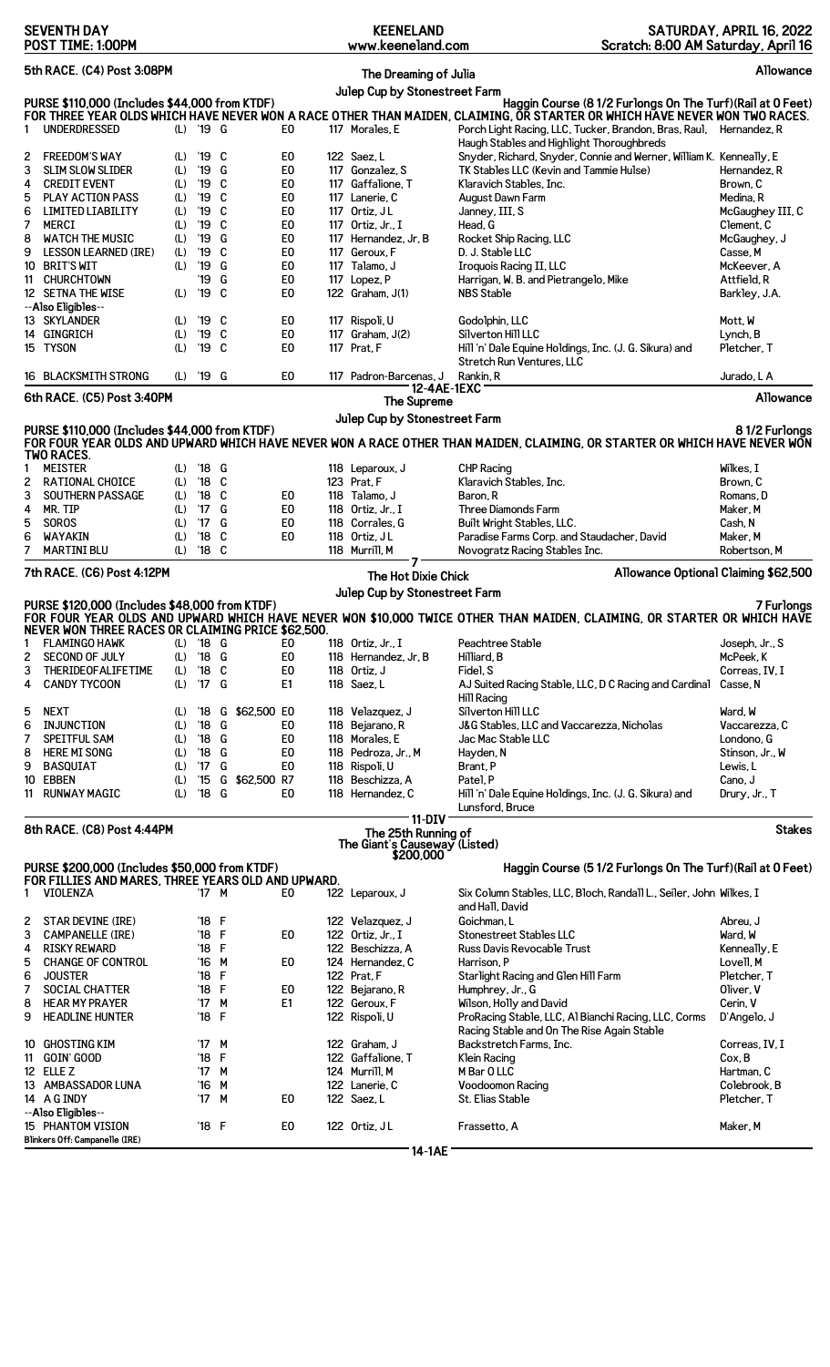| <b>SEVENTH DAY</b><br>POST TIME: 1:00PM                                                            |                   |                                 |             |               | <b>KEENELAND</b><br>www.keeneland.com              |                                                            |                            | SATURDAY, APRIL 16, 2022<br>Scratch: 8:00 AM Saturday, April 16                                                                                                                                                                                                 |                                             |  |
|----------------------------------------------------------------------------------------------------|-------------------|---------------------------------|-------------|---------------|----------------------------------------------------|------------------------------------------------------------|----------------------------|-----------------------------------------------------------------------------------------------------------------------------------------------------------------------------------------------------------------------------------------------------------------|---------------------------------------------|--|
| 5th RACE. (C4) Post 3:08PM                                                                         |                   |                                 |             |               |                                                    | The Dreaming of Julia                                      |                            |                                                                                                                                                                                                                                                                 | Allowance                                   |  |
| PURSE \$110,000 (Includes \$44,000 from KTDF)<br><b>UNDERDRESSED</b><br>1                          |                   | (L) '19 G                       |             |               | E <sub>0</sub>                                     | Julep Cup by Stonestreet Farm<br>117 Morales, E            |                            | Haggin Course (8 1/2 Furlongs On The Turf) (Rail at 0 Feet)<br>FOR THREE YEAR OLDS WHICH HAVE NEVER WON A RACE OTHER THAN MAIDEN, CLAIMING, OR STARTER OR WHICH HAVE NEVER WON TWO RACES.<br>Porch Light Racing, LLC, Tucker, Brandon, Bras, Raul, Hernandez, R |                                             |  |
| <b>FREEDOM'S WAY</b><br>2<br>3<br><b>SLIM SLOW SLIDER</b><br><b>CREDIT EVENT</b>                   | (L)<br>(L)<br>(L) | '19 C<br>'19<br>'19 C           | G           |               | E0<br>E <sub>0</sub><br>E <sub>0</sub>             | 122 Saez, L<br>117 Gonzalez, S<br>117 Gaffalione, T        |                            | Haugh Stables and Highlight Thoroughbreds<br>Snyder, Richard, Snyder, Connie and Werner, William K. Kenneally, E<br>TK Stables LLC (Kevin and Tammie Hulse)<br>Klaravich Stables, Inc.                                                                          | Hernandez, R<br>Brown, C                    |  |
| 4<br>5<br><b>PLAY ACTION PASS</b><br>6<br><b>LIMITED LIABILITY</b>                                 | (L)<br>(L)        | '19<br>'19                      | C<br>C      |               | E <sub>0</sub><br>E <sub>0</sub>                   | 117 Lanerie, C<br>117 Ortiz, JL                            |                            | August Dawn Farm<br>Janney, III, S                                                                                                                                                                                                                              | Medina, R<br>McGaughey III, C               |  |
| 7<br>MERCI<br>8<br><b>WATCH THE MUSIC</b><br>9<br><b>LESSON LEARNED (IRE)</b>                      | (L)<br>(L)<br>(L) | '19<br>'19<br>'19               | C<br>G<br>C |               | E <sub>0</sub><br>E <sub>0</sub><br>E <sub>0</sub> | 117 Ortiz, Jr., I<br>117 Hernandez, Jr, B<br>117 Geroux, F |                            | Head, G<br>Rocket Ship Racing, LLC<br>D. J. Stable LLC                                                                                                                                                                                                          | Clement, C<br>McGaughey, J<br>Casse, M      |  |
| 10 BRIT'S WIT<br>11 CHURCHTOWN<br>12 SETNA THE WISE<br>--Also Eligibles--                          | (L)<br>(L)        | '19<br>'19<br>'19               | G<br>G<br>C |               | E <sub>0</sub><br>E <sub>0</sub><br>E <sub>0</sub> | 117 Talamo, J<br>117 Lopez, P<br>122 Graham, J(1)          |                            | Iroquois Racing II, LLC<br>Harrigan, W. B. and Pietrangelo, Mike<br><b>NBS Stable</b>                                                                                                                                                                           | McKeever, A<br>Attfield, R<br>Barkley, J.A. |  |
| 13 SKYLANDER<br>14 GINGRICH<br>15 TYSON                                                            | (L)<br>(L)<br>(L) | '19 C<br>'19<br>'19 C           | C           |               | E <sub>0</sub><br>E <sub>0</sub><br>E <sub>0</sub> | 117 Rispoli, U<br>117 $Graham. J(2)$<br>117 Prat, F        |                            | Godolphin, LLC<br>Silverton Hill LLC<br>Hill 'n' Dale Equine Holdings, Inc. (J. G. Sikura) and                                                                                                                                                                  | Mott. W<br>Lynch, B<br>Pletcher, T          |  |
| 16 BLACKSMITH STRONG                                                                               | (L)               | '19 G                           |             |               | E <sub>0</sub>                                     | 117 Padron-Barcenas, J                                     |                            | Stretch Run Ventures, LLC<br>Rankin, R                                                                                                                                                                                                                          | Jurado, L A                                 |  |
| 6th RACE. (C5) Post 3:40PM                                                                         |                   |                                 |             |               |                                                    |                                                            | 12-4AE-1EXC<br>The Supreme |                                                                                                                                                                                                                                                                 | Allowance                                   |  |
| PURSE \$110,000 (Includes \$44,000 from KTDF)                                                      |                   |                                 |             |               |                                                    | Julep Cup by Stonestreet Farm                              |                            |                                                                                                                                                                                                                                                                 | 81/2 Furlongs                               |  |
| <b>TWO RACES.</b>                                                                                  |                   |                                 |             |               |                                                    |                                                            |                            | FOR FOUR YEAR OLDS AND UPWARD WHICH HAVE NEVER WON A RACE OTHER THAN MAIDEN, CLAIMING, OR STARTER OR WHICH HAVE NEVER WON                                                                                                                                       |                                             |  |
| Meister<br>1<br>2<br><b>RATIONAL CHOICE</b>                                                        | (L)               | (L) '18 G<br>$'18$ C            |             |               |                                                    | 118 Leparoux, J<br>123 Prat, F                             |                            | <b>CHP Racing</b><br>Klaravich Stables, Inc.                                                                                                                                                                                                                    | Wilkes, I<br>Brown, C                       |  |
| 3<br>SOUTHERN PASSAGE<br>4<br>MR. TIP                                                              | (L)<br>(L)        | $^{\prime}$ 18<br>17            | C<br>G      |               | E <sub>0</sub><br>E <sub>0</sub>                   | 118 Talamo, J<br>118 Ortiz, Jr., I                         |                            | Baron, R<br>Three Diamonds Farm                                                                                                                                                                                                                                 | Romans, D<br>Maker, M                       |  |
| 5<br><b>SOROS</b>                                                                                  | (L)               | 17                              | G           |               | E <sub>0</sub>                                     | 118 Corrales, G                                            |                            | Built Wright Stables, LLC.                                                                                                                                                                                                                                      | Cash, N                                     |  |
| 6<br>WAYAKIN                                                                                       | (L)               | $^{\prime}18$                   | C           |               | E0                                                 | 118 Ortiz, JL                                              |                            | Paradise Farms Corp. and Staudacher, David                                                                                                                                                                                                                      | Maker, M                                    |  |
| 7<br><b>MARTINI BLU</b>                                                                            | (L)               | $'18$ C                         |             |               |                                                    | 118 Murrill, M                                             | $\mathbf{7}^{\circ}$       | Novogratz Racing Stables Inc.                                                                                                                                                                                                                                   | Robertson, M                                |  |
| 7th RACE. (C6) Post 4:12PM                                                                         |                   |                                 |             |               |                                                    | Julep Cup by Stonestreet Farm                              | The Hot Dixie Chick        | Allowance Optional Claiming \$62,500                                                                                                                                                                                                                            |                                             |  |
| PURSE \$120,000 (Includes \$48,000 from KTDF)<br>NEVER WON THREE RACES OR CLAIMING PRICE \$62,500. |                   |                                 |             |               |                                                    |                                                            |                            | FOR FOUR YEAR OLDS AND UPWARD WHICH HAVE NEVER WON \$10,000 TWICE OTHER THAN MAIDEN, CLAIMING, OR STARTER OR WHICH HAVE                                                                                                                                         | 7 Furlongs                                  |  |
| <b>FLAMINGO HAWK</b><br>1                                                                          | (L)               | $'18$ G                         |             |               | E0                                                 | 118 Ortiz. Jr., I                                          |                            | Peachtree Stable                                                                                                                                                                                                                                                | Joseph, Jr., S                              |  |
| 2<br><b>SECOND OF JULY</b><br>3<br>THERIDEOFALIFETIME                                              | (L)<br>(L)        | $'18$ G<br>$^{\prime}18$        | C           |               | E <sub>0</sub><br>E <sub>0</sub>                   | 118 Hernandez, Jr, B<br>118 Ortiz, J                       |                            | Hilliard, B<br>Fidel, S                                                                                                                                                                                                                                         | McPeek, K<br>Correas, IV, I                 |  |
| 4<br><b>CANDY TYCOON</b>                                                                           | (L)               | $^{\prime}$ 17                  | G           |               | E1                                                 | 118 Saez, L                                                |                            | AJ Suited Racing Stable, LLC, D C Racing and Cardinal<br>Hill Racing                                                                                                                                                                                            | Casse, N                                    |  |
| <b>NEXT</b><br>5<br>6<br><b>INJUNCTION</b>                                                         | (L)<br>(L)        | '18<br>$^{\prime}18$            | G<br>G      | \$62,500 EO   | E0                                                 | 118 Velazquez, J<br>118 Bejarano, R                        |                            | Silverton Hill LLC<br>J&G Stables, LLC and Vaccarezza, Nicholas                                                                                                                                                                                                 | Ward, W<br>Vaccarezza. C                    |  |
| 7<br>SPEITFUL SAM                                                                                  | (L)               | $^{\prime}18$                   | G           |               | E <sub>0</sub>                                     | 118 Morales, E                                             |                            | Jac Mac Stable LLC                                                                                                                                                                                                                                              | Londono, G                                  |  |
| <b>HERE MI SONG</b><br>8                                                                           | (L)               | '18                             | G           |               | E <sub>0</sub>                                     | 118 Pedroza, Jr., M                                        |                            | Hayden, N                                                                                                                                                                                                                                                       | Stinson, Jr., W                             |  |
| <b>BASQUIAT</b><br>9<br>10 EBBEN                                                                   | (L)<br>(L)        | $^{\prime}$ 17<br>$^{\prime}15$ | G           | G \$62,500 R7 | E0                                                 | 118 Rispoli, U<br>118 Beschizza, A                         |                            | Brant, P<br>Patel, P                                                                                                                                                                                                                                            | Lewis, L<br>Cano. J                         |  |
| 11 RUNWAY MAGIC                                                                                    | (L)               | $^{\prime}18$                   | G           |               | E0                                                 | 118 Hernandez, C                                           |                            | Hill 'n' Dale Equine Holdings, Inc. (J. G. Sikura) and                                                                                                                                                                                                          | Drury, Jr., T                               |  |
| 8th RACE. (C8) Post 4:44PM                                                                         |                   |                                 |             |               |                                                    | The 25th Running of<br>The Giant's Causeway (Listed)       | $11-DIV$                   | Lunsford, Bruce                                                                                                                                                                                                                                                 | <b>Stakes</b>                               |  |
| PURSE \$200,000 (Includes \$50,000 from KTDF)                                                      |                   |                                 |             |               |                                                    |                                                            | \$200,000                  | Haggin Course (5 1/2 Furlongs On The Turf) (Rail at 0 Feet)                                                                                                                                                                                                     |                                             |  |
| FOR FILLIES AND MARES, THREE YEARS OLD AND UPWARD.<br><b>VIOLENZA</b><br>1                         |                   | '17 M                           |             |               | E0                                                 | 122 Leparoux, J                                            |                            | Six Column Stables, LLC, Bloch, Randall L., Seiler, John Wilkes, I<br>and Hall, David                                                                                                                                                                           |                                             |  |
| <b>STAR DEVINE (IRE)</b><br>2                                                                      |                   | '18 F                           |             |               |                                                    | 122 Velazquez, J                                           |                            | Goichman, L                                                                                                                                                                                                                                                     | Abreu, J                                    |  |
| 3<br><b>CAMPANELLE (IRE)</b>                                                                       |                   | $'18$ F                         |             |               | E0                                                 | 122 Ortiz, Jr., I                                          |                            | Stonestreet Stables LLC                                                                                                                                                                                                                                         | Ward, W                                     |  |
| <b>RISKY REWARD</b><br>4                                                                           |                   | '18 F                           |             |               |                                                    | 122 Beschizza, A                                           |                            | Russ Davis Revocable Trust                                                                                                                                                                                                                                      | Kenneally, E                                |  |
| <b>CHANGE OF CONTROL</b><br>5<br>6<br><b>JOUSTER</b>                                               |                   | '16 M<br>'18 F                  |             |               | E0                                                 | 124 Hernandez, C<br>122 Prat, F                            |                            | Harrison, P<br>Starlight Racing and Glen Hill Farm                                                                                                                                                                                                              | Lovell, M<br>Pletcher, T                    |  |
| 7<br><b>SOCIAL CHATTER</b>                                                                         |                   | '18 F                           |             |               | E0                                                 | 122 Bejarano, R                                            |                            | Humphrey, Jr., G                                                                                                                                                                                                                                                | Oliver, V                                   |  |
| 8<br><b>HEAR MY PRAYER</b><br>9<br><b>HEADLINE HUNTER</b>                                          |                   | $17^{\circ}$<br>'18 F           | M           |               | E <sub>1</sub>                                     | 122 Geroux, F<br>122 Rispoli, U                            |                            | Wilson, Holly and David<br>ProRacing Stable, LLC, Al Bianchi Racing, LLC, Corms<br>Racing Stable and On The Rise Again Stable                                                                                                                                   | Cerin, V<br>D'Angelo, J                     |  |
| 10 GHOSTING KIM                                                                                    |                   | '17 M                           |             |               |                                                    | 122 Graham, J                                              |                            | Backstretch Farms, Inc.                                                                                                                                                                                                                                         | Correas, IV, I                              |  |
| 11 GOIN GOOD                                                                                       |                   | '18                             | F           |               |                                                    | 122 Gaffalione, T                                          |                            | Klein Racing                                                                                                                                                                                                                                                    | Cox, B                                      |  |
| 12 ELLE Z<br>13 AMBASSADOR LUNA                                                                    |                   | '17<br>'16                      | М<br>M      |               |                                                    | 124 Murrill, M<br>122 Lanerie, C                           |                            | M Bar O LLC<br>Voodoomon Racing                                                                                                                                                                                                                                 | Hartman, C<br>Colebrook, B                  |  |
| 14 A G INDY                                                                                        |                   | $^{\prime}$ 17                  | M           |               | E <sub>0</sub>                                     | 122 Saez, L                                                |                            | St. Elias Stable                                                                                                                                                                                                                                                | Pletcher, T                                 |  |
| --Also Eligibles--<br>15 PHANTOM VISION                                                            |                   | '18 F                           |             |               | E <sub>0</sub>                                     | 122 Ortiz, JL                                              |                            | Frassetto, A                                                                                                                                                                                                                                                    | Maker, M                                    |  |
| Blinkers Off: Campanelle (IRE)                                                                     |                   |                                 |             |               |                                                    |                                                            | 14-1AE                     |                                                                                                                                                                                                                                                                 |                                             |  |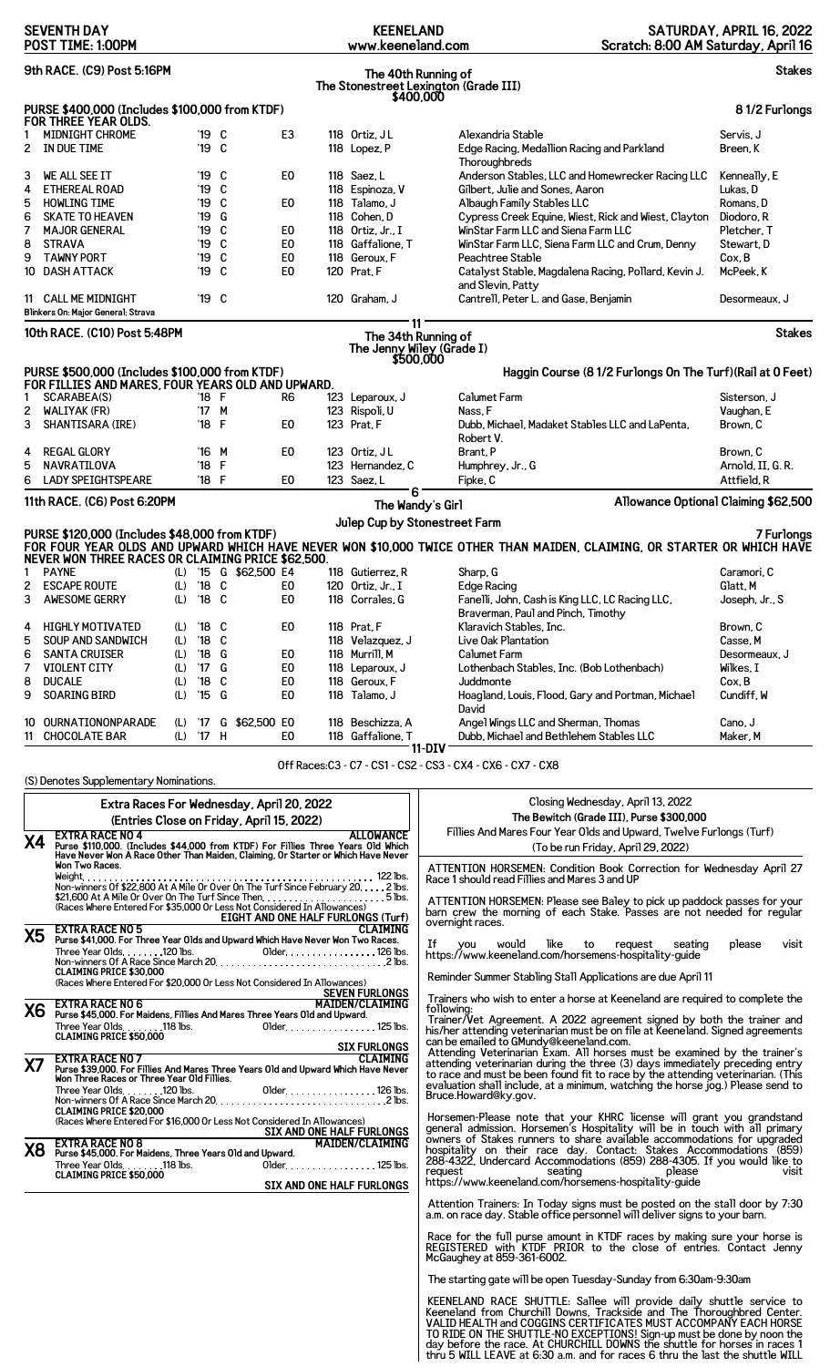| <b>SEVENTH DAY</b><br>POST TIME: 1:00PM                                                    |                                                                                                                                 |     |                        |           |                       |                                  | <b>KEENELAND</b><br>www.keeneland.com                        |                                                                                                                                                                                                                                                                                                         | SATURDAY, APRIL 16, 2022<br>Scratch: 8:00 AM Saturday, April 16 |                                  |               |
|--------------------------------------------------------------------------------------------|---------------------------------------------------------------------------------------------------------------------------------|-----|------------------------|-----------|-----------------------|----------------------------------|--------------------------------------------------------------|---------------------------------------------------------------------------------------------------------------------------------------------------------------------------------------------------------------------------------------------------------------------------------------------------------|-----------------------------------------------------------------|----------------------------------|---------------|
| 9th RACE. (C9) Post 5:16PM<br>The 40th Running of<br>The Stonestreet Lexington (Grade III) |                                                                                                                                 |     |                        |           |                       |                                  |                                                              |                                                                                                                                                                                                                                                                                                         | <b>Stakes</b>                                                   |                                  |               |
|                                                                                            | PURSE \$400,000 (Includes \$100,000 from KTDF)                                                                                  |     |                        |           |                       |                                  |                                                              | \$400,000                                                                                                                                                                                                                                                                                               |                                                                 |                                  | 81/2 Furlongs |
| 2                                                                                          | FOR THREE YEAR OLDS.<br><b>MIDNIGHT CHROME</b><br>IN DUE TIME                                                                   |     | '19 C<br>'19 C         |           |                       | E <sub>3</sub>                   | 118 Ortiz, JL<br>118 Lopez, P                                | Alexandria Stable<br>Edge Racing, Medallion Racing and Parkland                                                                                                                                                                                                                                         |                                                                 | Servis, J<br>Breen, K            |               |
|                                                                                            |                                                                                                                                 |     |                        |           |                       |                                  |                                                              | Thoroughbreds                                                                                                                                                                                                                                                                                           |                                                                 |                                  |               |
| 3<br>4                                                                                     | WE ALL SEE IT<br><b>ETHEREAL ROAD</b>                                                                                           |     | '19<br>'19             | - C<br>C. |                       | E0                               | 118 Saez, L<br>118 Espinoza, V                               | Anderson Stables, LLC and Homewrecker Racing LLC<br>Gilbert, Julie and Sones, Aaron                                                                                                                                                                                                                     |                                                                 | Kenneally, E<br>Lukas, D         |               |
| 5                                                                                          | <b>HOWLING TIME</b>                                                                                                             |     | '19                    | C         |                       | E <sub>0</sub>                   | 118 Talamo, J                                                | Albaugh Family Stables LLC                                                                                                                                                                                                                                                                              |                                                                 | Romans. D                        |               |
| 6                                                                                          | <b>SKATE TO HEAVEN</b>                                                                                                          |     | '19                    | G         |                       |                                  | 118 Cohen, D                                                 | Cypress Creek Equine, Wiest, Rick and Wiest, Clayton                                                                                                                                                                                                                                                    |                                                                 | Diodoro, R                       |               |
| 7<br>8                                                                                     | <b>MAJOR GENERAL</b><br><b>STRAVA</b>                                                                                           |     | '19<br>'19             | C<br>C    |                       | E0<br>E <sub>0</sub>             | 118 Ortiz, Jr., I<br>118 Gaffalione, T                       | WinStar Farm LLC and Siena Farm LLC<br>WinStar Farm LLC, Siena Farm LLC and Crum, Denny                                                                                                                                                                                                                 |                                                                 | Pletcher, T<br>Stewart, D        |               |
| 9                                                                                          | <b>TAWNY PORT</b>                                                                                                               |     | '19                    | C         |                       | E <sub>0</sub>                   | 118 Geroux, F                                                | Peachtree Stable                                                                                                                                                                                                                                                                                        |                                                                 | Cox, B                           |               |
| 10                                                                                         | <b>DASH ATTACK</b>                                                                                                              |     | '19 C                  |           |                       | E <sub>0</sub>                   | 120 Prat, F                                                  | Catalyst Stable, Magdalena Racing, Pollard, Kevin J.<br>and Slevin, Patty                                                                                                                                                                                                                               |                                                                 | McPeek, K                        |               |
|                                                                                            | 11 CALL ME MIDNIGHT<br>Blinkers On: Major General; Strava                                                                       |     | '19 C                  |           |                       |                                  | 120 Graham, J                                                | Cantrell, Peter L. and Gase, Benjamin                                                                                                                                                                                                                                                                   |                                                                 | Desormeaux, J                    |               |
|                                                                                            | 10th RACE. (C10) Post 5:48PM                                                                                                    |     |                        |           |                       |                                  |                                                              | 11<br>The 34th Running of<br>The Jenny Wiley (Grade I)                                                                                                                                                                                                                                                  |                                                                 |                                  | <b>Stakes</b> |
|                                                                                            | PURSE \$500,000 (Includes \$100,000 from KTDF)                                                                                  |     |                        |           |                       |                                  |                                                              | \$500,000                                                                                                                                                                                                                                                                                               | Haggin Course (8 1/2 Furlongs On The Turf) (Rail at 0 Feet)     |                                  |               |
| 1                                                                                          | FOR FILLIES AND MARES, FOUR YEARS OLD AND UPWARD.<br>SCARABEA(S)                                                                |     | '18 F                  |           |                       | R6                               | 123 Leparoux, J                                              | <b>Calumet Farm</b>                                                                                                                                                                                                                                                                                     |                                                                 | Sisterson, J                     |               |
| 2                                                                                          | <b>WALIYAK (FR)</b>                                                                                                             |     | $17^{\circ}$           | M         |                       |                                  | 123 Rispoli, U                                               | Nass, F                                                                                                                                                                                                                                                                                                 |                                                                 | Vaughan, E                       |               |
| 3                                                                                          | SHANTISARA (IRE)                                                                                                                |     | '18 F                  |           |                       | E <sub>0</sub>                   | 123 Prat, F                                                  | Dubb, Michael, Madaket Stables LLC and LaPenta,                                                                                                                                                                                                                                                         |                                                                 | Brown. C                         |               |
| 4                                                                                          | <b>REGAL GLORY</b>                                                                                                              |     | '16 M                  |           |                       | E0                               | 123 Ortiz, JL                                                | Robert V.<br>Brant, P                                                                                                                                                                                                                                                                                   |                                                                 | Brown, C                         |               |
| 5<br>6                                                                                     | NAVRATILOVA<br><b>LADY SPEIGHTSPEARE</b>                                                                                        |     | '18<br>$'18$ F         | F         |                       | E0                               | 123 Hernandez, C<br>123 Saez, L                              | Humphrey, Jr., G<br>Fipke, C                                                                                                                                                                                                                                                                            |                                                                 | Arnold, II, G. R.<br>Attfield, R |               |
|                                                                                            | 11th RACE. (C6) Post 6:20PM                                                                                                     |     |                        |           |                       |                                  |                                                              | 6                                                                                                                                                                                                                                                                                                       | Allowance Optional Claiming \$62,500                            |                                  |               |
|                                                                                            |                                                                                                                                 |     |                        |           |                       |                                  |                                                              | The Wandy's Girl<br>Julep Cup by Stonestreet Farm                                                                                                                                                                                                                                                       |                                                                 |                                  |               |
|                                                                                            | PURSE \$120,000 (Includes \$48,000 from KTDF)                                                                                   |     |                        |           |                       |                                  |                                                              | FOR FOUR YEAR OLDS AND UPWARD WHICH HAVE NEVER WON \$10,000 TWICE OTHER THAN MAIDEN, CLAIMING, OR STARTER OR WHICH HAVE                                                                                                                                                                                 |                                                                 |                                  | 7 Furlongs    |
|                                                                                            | NEVER WON THREE RACES OR CLAIMING PRICE \$62,500.                                                                               |     |                        |           | (L) '15 G \$62,500 E4 |                                  | 118 Gutierrez, R                                             |                                                                                                                                                                                                                                                                                                         |                                                                 |                                  |               |
| 2                                                                                          | <b>PAYNE</b><br><b>ESCAPE ROUTE</b>                                                                                             | (L) | $^{\prime}18$          | C         |                       | E <sub>0</sub>                   | 120 Ortiz, Jr., I                                            | Sharp, G<br><b>Edge Racing</b>                                                                                                                                                                                                                                                                          |                                                                 | Caramori, C<br>Glatt, M          |               |
| 3                                                                                          | <b>AWESOME GERRY</b>                                                                                                            | (L) | '18 C                  |           |                       | E0                               | 118 Corrales, G                                              | Fanelli, John, Cash is King LLC, LC Racing LLC,                                                                                                                                                                                                                                                         |                                                                 | Joseph, Jr., S                   |               |
|                                                                                            |                                                                                                                                 |     |                        |           |                       |                                  |                                                              | Braverman, Paul and Pinch, Timothy                                                                                                                                                                                                                                                                      |                                                                 |                                  |               |
| 4                                                                                          | <b>HIGHLY MOTIVATED</b><br><b>SOUP AND SANDWICH</b>                                                                             |     | (L) '18 C<br>(L) '18 C |           |                       | E <sub>0</sub>                   | 118 Prat, F<br>118 Velazquez, J                              | Klaravich Stables, Inc.<br>Live Oak Plantation                                                                                                                                                                                                                                                          |                                                                 | Brown, C<br>Casse, M             |               |
| 6                                                                                          | <b>SANTA CRUISER</b>                                                                                                            |     | (L) '18 G              |           |                       | E0                               | 118 Murrill, M                                               | Calumet Farm                                                                                                                                                                                                                                                                                            |                                                                 | Desormeaux, J                    |               |
| 7                                                                                          | <b>VIOLENT CITY</b>                                                                                                             |     | (L) '17 G              |           |                       | E <sub>0</sub>                   | 118 Leparoux, J                                              | Lothenbach Stables, Inc. (Bob Lothenbach)                                                                                                                                                                                                                                                               |                                                                 | Wilkes, I                        |               |
| 8<br>9                                                                                     | <b>DUCALE</b><br><b>SOARING BIRD</b>                                                                                            |     | (L) '18 C<br>(L) '15 G |           |                       | E <sub>0</sub><br>E <sub>0</sub> | 118 Geroux, F<br>118 Talamo, J                               | Juddmonte<br>Hoagland, Louis, Flood, Gary and Portman, Michael                                                                                                                                                                                                                                          |                                                                 | Cox, B<br>Cundiff, W             |               |
|                                                                                            |                                                                                                                                 |     |                        |           |                       |                                  |                                                              | David                                                                                                                                                                                                                                                                                                   |                                                                 |                                  |               |
|                                                                                            | 10 OURNATIONONPARADE<br>11 CHOCOLATE BAR                                                                                        |     | (L) '17 H              |           | (L) '17 G \$62,500 E0 | E0                               | 118 Beschizza, A<br>118 Gaffalione, T                        | Angel Wings LLC and Sherman, Thomas<br>Dubb, Michael and Bethlehem Stables LLC                                                                                                                                                                                                                          |                                                                 | Cano, J<br>Maker, M              |               |
|                                                                                            |                                                                                                                                 |     |                        |           |                       |                                  |                                                              | $11-DIV$<br>Off Races:C3 - C7 - CS1 - CS2 - CS3 - CX4 - CX6 - CX7 - CX8                                                                                                                                                                                                                                 |                                                                 |                                  |               |
|                                                                                            | (S) Denotes Supplementary Nominations.                                                                                          |     |                        |           |                       |                                  |                                                              |                                                                                                                                                                                                                                                                                                         |                                                                 |                                  |               |
|                                                                                            | Extra Races For Wednesday, April 20, 2022                                                                                       |     |                        |           |                       |                                  |                                                              |                                                                                                                                                                                                                                                                                                         | Closing Wednesday, April 13, 2022                               |                                  |               |
|                                                                                            | (Entries Close on Friday, April 15, 2022)                                                                                       |     |                        |           |                       |                                  |                                                              |                                                                                                                                                                                                                                                                                                         | The Bewitch (Grade III), Purse \$300,000                        |                                  |               |
| Χ4                                                                                         | <b>EXTRA RACE NO 4</b><br>Purse \$110,000. (Includes \$44,000 from KTDF) For Fillies Three Years Old Which                      |     |                        |           |                       |                                  | <b>ALLOWANCE</b>                                             | Fillies And Mares Four Year Olds and Upward, Twelve Furlongs (Turf)<br>(To be run Friday, April 29, 2022)                                                                                                                                                                                               |                                                                 |                                  |               |
|                                                                                            | Have Never Won A Race Other Than Maiden, Claiming, Or Starter or Which Have Never<br>Won Two Races.                             |     |                        |           |                       |                                  |                                                              | ATTENTION HORSEMEN: Condition Book Correction for Wednesday April 27                                                                                                                                                                                                                                    |                                                                 |                                  |               |
|                                                                                            |                                                                                                                                 |     |                        |           |                       |                                  |                                                              | Race 1 should read Fillies and Mares 3 and UP                                                                                                                                                                                                                                                           |                                                                 |                                  |               |
|                                                                                            | (Races Where Entered For \$35,000 Or Less Not Considered In Allowances)                                                         |     |                        |           |                       |                                  |                                                              | ATTENTION HORSEMEN: Please see Baley to pick up paddock passes for your barn crew the morning of each Stake. Passes are not needed for regular                                                                                                                                                          |                                                                 |                                  |               |
| <b>X5</b>                                                                                  | <b>EXTRA RACE NO 5</b>                                                                                                          |     |                        |           |                       |                                  | <b>EIGHT AND ONE HALF FURLONGS (Turf)</b><br><b>CLAIMING</b> | overnight races.                                                                                                                                                                                                                                                                                        |                                                                 |                                  |               |
|                                                                                            | Purse \$41,000. For Three Year Olds and Upward Which Have Never Won Two Races.                                                  |     |                        |           |                       |                                  |                                                              | If you would like to request seating<br>https://www.keeneland.com/horsemens-hospitality-guide                                                                                                                                                                                                           | seating                                                         | please                           | visit         |
|                                                                                            | <b>CLAIMING PRICE \$30,000</b>                                                                                                  |     |                        |           |                       |                                  |                                                              | Reminder Summer Stabling Stall Applications are due April 11                                                                                                                                                                                                                                            |                                                                 |                                  |               |
|                                                                                            | (Races Where Entered For \$20,000 Or Less Not Considered In Allowances)                                                         |     |                        |           |                       |                                  | SEVEN FURLONGS                                               | Trainers who wish to enter a horse at Keeneland are required to complete the                                                                                                                                                                                                                            |                                                                 |                                  |               |
| <b>X6</b>                                                                                  | EXTRA RACE NO 6<br>Purse \$45,000. For Maidens, Fillies And Mares Three Years Old and Upward.                                   |     |                        |           |                       |                                  |                                                              | following:<br>Trainer/Vet Agreement. A 2022 agreement signed by both the trainer and                                                                                                                                                                                                                    |                                                                 |                                  |               |
|                                                                                            | Three Year Olds. 118 lbs.<br><b>CLAIMING PRICE \$50,000</b>                                                                     |     |                        |           |                       |                                  | 01der. 125 lbs.                                              | his/her attending veterinarian must be on file at Keeneland. Signed agreements<br>can be emailed to GMundy@keeneland.com.                                                                                                                                                                               |                                                                 |                                  |               |
| X7                                                                                         | EXTRA RACE NO 7<br>EXTRA RACE NO 7                                                                                              |     |                        |           |                       |                                  |                                                              | Attending Veterinarian Exam. All horses must be examined by the trainer's attending veterinarian during the three (3) days immediately preceding entry                                                                                                                                                  |                                                                 |                                  |               |
|                                                                                            | Purse \$39,000. For Fillies And Mares Three Years Old and Upward Which Have Never<br>Won Three Races or Three Year Old Fillies. |     |                        |           |                       |                                  |                                                              | structure and must be been found fit to race by the attending veterinarian. (This evaluation shall include, at a minimum, watching the horse jog.) Please send to                                                                                                                                       |                                                                 |                                  |               |
|                                                                                            |                                                                                                                                 |     |                        |           |                       |                                  |                                                              | Bruce.Howard@ky.gov.                                                                                                                                                                                                                                                                                    |                                                                 |                                  |               |
|                                                                                            | <b>CLAIMING PRICE \$20,000</b><br>(Races Where Entered For \$16,000 Or Less Not Considered In Allowances)                       |     |                        |           |                       |                                  |                                                              | Horsemen-Please note that your KHRC license will grant you grandstand                                                                                                                                                                                                                                   |                                                                 |                                  |               |
|                                                                                            |                                                                                                                                 |     |                        |           |                       |                                  | <b>SIX AND ONE HALF FURLONGS</b><br><b>MAIDEN/CLAIMING</b>   | Seneral admission. Horsemen's Hospitality will be in touch with all primary<br>owners of Stakes runners to share available accommodations for upgraded<br>hospitality on their race day. Contact: Stakes Accommodations (859)<br>288-43                                                                 |                                                                 |                                  |               |
| X8                                                                                         | <b>EXTRA RACE NO 8</b><br>Purse \$45,000. For Maidens, Three Years Old and Upward.                                              |     |                        |           |                       |                                  |                                                              |                                                                                                                                                                                                                                                                                                         |                                                                 |                                  |               |
|                                                                                            | <b>CLAIMING PRICE \$50,000</b>                                                                                                  |     |                        |           |                       |                                  |                                                              | request                                                                                                                                                                                                                                                                                                 | seating and a seating<br>please                                 |                                  | visit         |
|                                                                                            |                                                                                                                                 |     |                        |           |                       |                                  | SIX AND ONE HALF FURLONGS                                    | https://www.keeneland.com/horsemens-hospitality-guide                                                                                                                                                                                                                                                   |                                                                 |                                  |               |
|                                                                                            |                                                                                                                                 |     |                        |           |                       |                                  |                                                              | Attention Trainers: In Today signs must be posted on the stall door by 7:30<br>a.m. on race day. Stable office personnel will deliver signs to your barn.                                                                                                                                               |                                                                 |                                  |               |
|                                                                                            |                                                                                                                                 |     |                        |           |                       |                                  |                                                              | Race for the full purse amount in KTDF races by making sure your horse is REGISTERED with KTDF PRIOR to the close of entries. Contact Jenny<br>McGaughey at 859-361-6002.                                                                                                                               |                                                                 |                                  |               |
|                                                                                            |                                                                                                                                 |     |                        |           |                       |                                  |                                                              | The starting gate will be open Tuesday-Sunday from 6:30am-9:30am                                                                                                                                                                                                                                        |                                                                 |                                  |               |
|                                                                                            |                                                                                                                                 |     |                        |           |                       |                                  |                                                              | KEENELAND RACE SHUTTLE: Sallee will provide daily shuttle service to<br>Keeneland from Churchill Downs, Trackside and The Thoroughbred Center.                                                                                                                                                          |                                                                 |                                  |               |
|                                                                                            |                                                                                                                                 |     |                        |           |                       |                                  |                                                              | VALID HEALTH and COGGINS CERTIFICATES MUST ACCOMPANY EACH HORSE<br>TO RIDE ON THE SHUTTLE-NO EXCEPTIONS! Sign-up must be done by noon the<br>day before the race. At CHURCHILL DOWNS the shuttle for horses in races 1<br>thru 5 WILL LEAVE at 6:30 a.m. and for races 6 thru the last the shuttle WILL |                                                                 |                                  |               |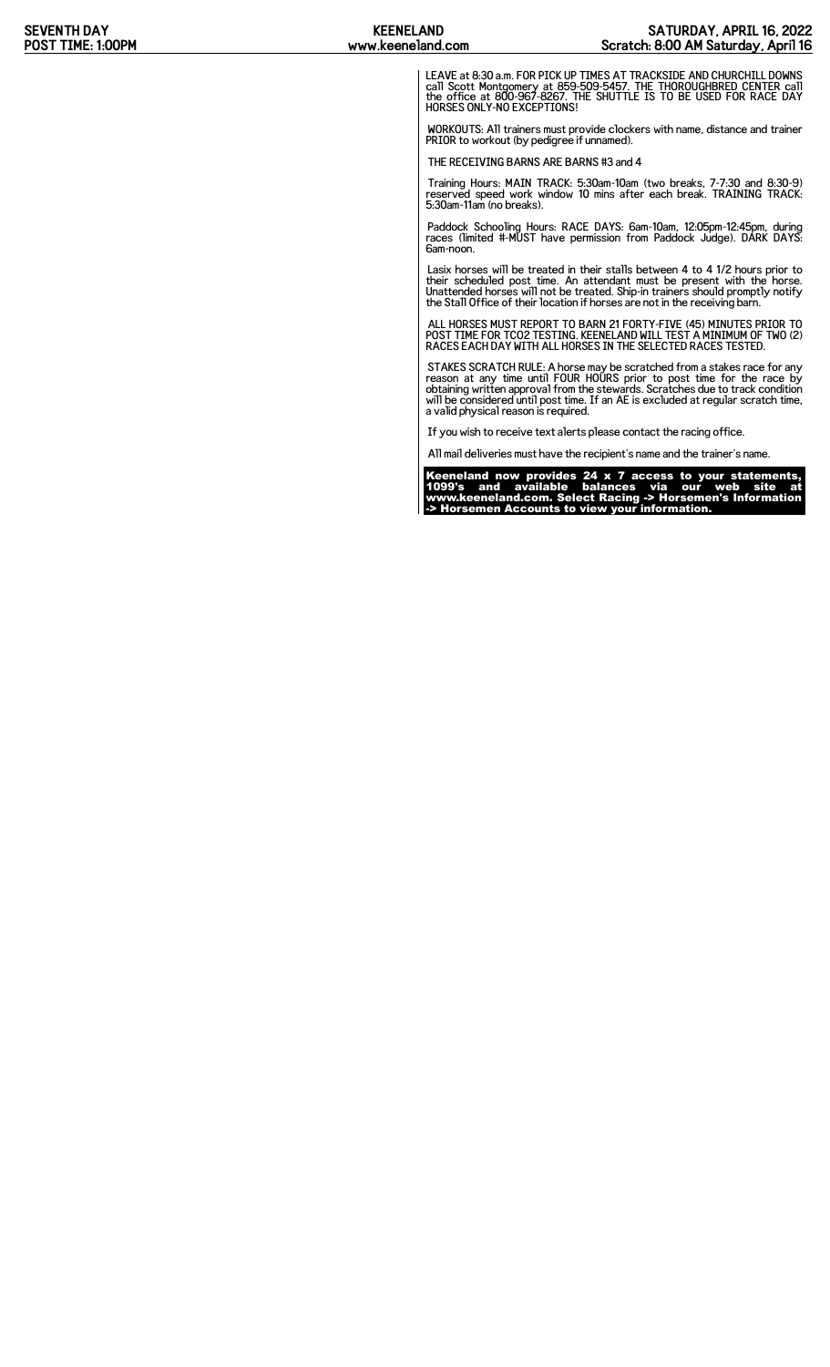LEAVE at 8:30 a.m. FOR PICK UP TIMES AT TRACKSIDE AND CHURCHILL DOWNS<br>call Scott Montgomery at 859-509-5457. THE THOROUGHBRED CENTER call<br>the office at 800-967-8267. THE SHUTTLE IS TO BE USED FOR RACE DAY<br>HORSES ONLY-NO EX

WORKOUTS: All trainers must provide clockers with name, distance and trainer PRIOR to workout (by pedigree if unnamed).

THE RECEIVING BARNS ARE BARNS #3 and 4

Training Hours: MAIN TRACK: 5:30am-10am (two breaks, 7-7:30 and 8:30-9) reserved speed work window 10 mins after each break. TRAINING TRACK: 5:30am-11am (no breaks).

Paddock Schooling Hours: RACE DAYS: 6am-10am, 12:05pm-12:45pm, during races (limited #-MUST have permission from Paddock Judge). DARK DAYS: 6am-noon.

Lasix horses will be treated in their stalls between 4 to 4 1/2 hours prior to<br>their scheduled post time. An attendant must be present with the horse.<br>Unattended horses will not be treated. Ship-in trainers should promptly

ALL HORSES MUST REPORT TO BARN 21 FORTY-FIVE (45) MINUTES PRIOR TO POST TIME FOR TCO2 TESTING. KEENELAND WILL TEST A MINIMUM OF TWO (2) RACES EACH DAY WITH ALL HORSES IN THE SELECTED RACES TESTED.

STAKES SCRATCH RULE: A horse may be scratched from a stakes race for any<br>reason at any time until FOUR HOURS prior to post time for the race by<br>obtaining written approval from the stewards. Scratches due to track condition

If you wish to receive text alerts please contact the racing office.

All mail deliveries must have the recipient's name and the trainer's name.

Keeneland now provides 24 x 7 access to your statements, 1099's and available balances via our web site at www.keeneland.com. Select Racing -> Horsemen's Information -> Horsemen Accounts to view your information.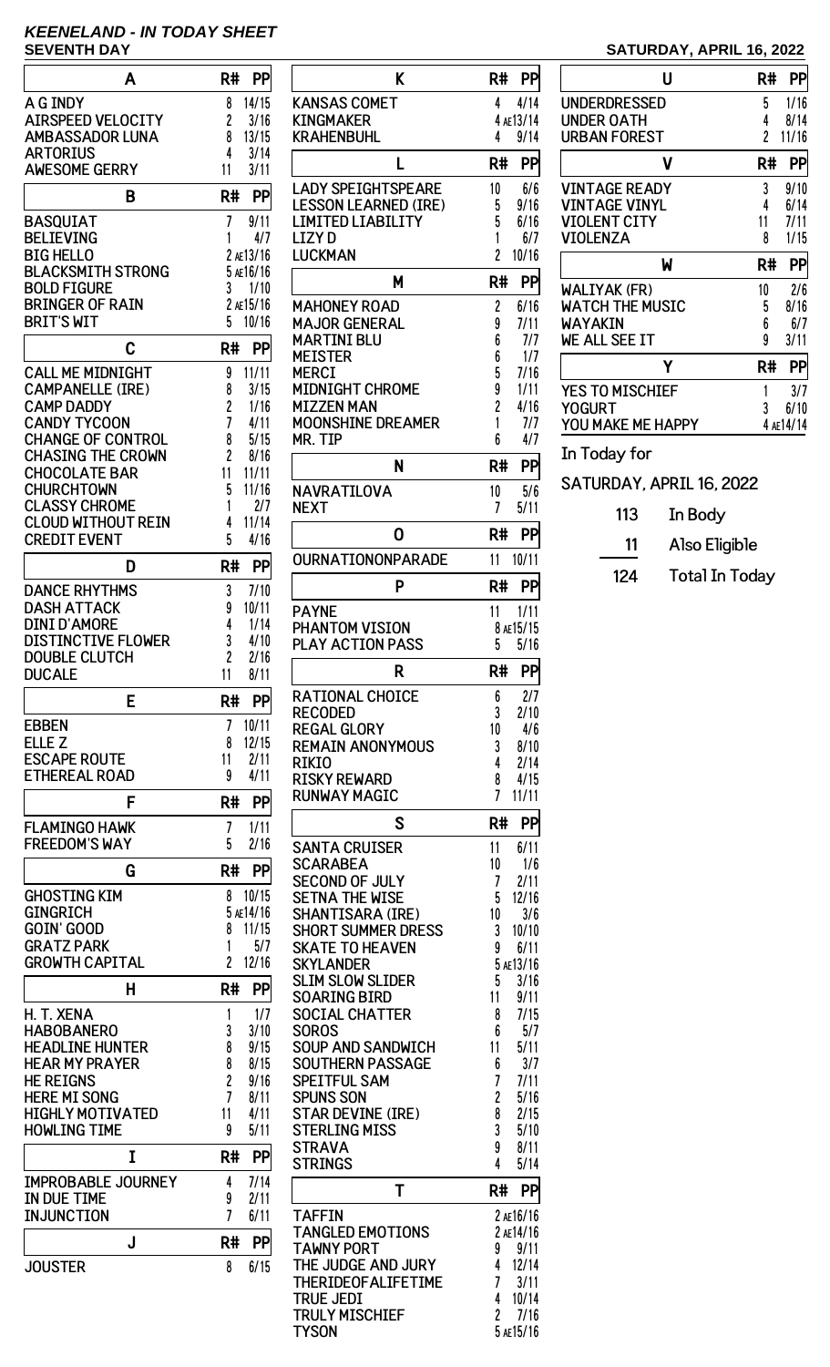# **KEENELAND - IN TODAY SHEET**

| A                                                | R#<br>PP                            |
|--------------------------------------------------|-------------------------------------|
| A G INDY                                         | 14/15<br>8                          |
| <b>AIRSPEED VELOCITY</b>                         | 2<br>3/16                           |
| <b>AMBASSADOR LUNA</b>                           | 8<br>13/15<br>3/14                  |
| <b>ARTORIUS</b><br><b>AWESOME GERRY</b>          | 4<br>11<br>3/11                     |
| B                                                | R#<br>PP                            |
| <b>BASQUIAT</b>                                  | 7<br>9/11                           |
| <b>BELIEVING</b>                                 | 1<br>4/7                            |
| <b>BIG HELLO</b>                                 | 2 ae13/16                           |
| <b>BLACKSMITH STRONG</b>                         | 5 AE16/16                           |
| <b>BOLD FIGURE</b><br><b>BRINGER OF RAIN</b>     | 3<br>1/10<br>2 AE15/16              |
| <b>BRIT'S WIT</b>                                | 5<br>10/16                          |
| C                                                | R#<br>PP                            |
| <b>CALL ME MIDNIGHT</b>                          | 11/11<br>9                          |
| <b>CAMPANELLE (IRE)</b>                          | 8<br>3/15                           |
| <b>CAMP DADDY</b>                                | 2<br>1/16                           |
| <b>CANDY TYCOON</b><br><b>CHANGE OF CONTROL</b>  | 7<br>4/11                           |
| <b>CHASING THE CROWN</b>                         | 8<br>5/15<br>$\overline{c}$<br>8/16 |
| <b>CHOCOLATE BAR</b>                             | 11<br>11/11                         |
| <b>CHURCHTOWN</b>                                | 5<br>11/16                          |
| <b>CLASSY CHROME</b>                             | 1<br>2/7                            |
| <b>CLOUD WITHOUT REIN</b>                        | 11/14<br>4                          |
| <b>CREDIT EVENT</b>                              | 5<br>4/16                           |
| D                                                | R#<br>PP                            |
| <b>DANCE RHYTHMS</b>                             | 3<br>7/10                           |
| DASH ATTACK                                      | 9<br>10/11                          |
| <b>DINI D'AMORE</b><br><b>DISTINCTIVE FLOWER</b> | 4<br>1/14<br>3<br>4/10              |
| <b>DOUBLE CLUTCH</b>                             | $\overline{c}$<br>2/16              |
| <b>DUCALE</b>                                    | 11<br>8/11                          |
| E                                                | PP<br>R#                            |
| <b>EBBEN</b>                                     | 7<br>10/11                          |
| ELLE <sub>Z</sub><br><b>ESCAPE ROUTE</b>         | 8<br>12/15<br>11<br>2/11            |
| <b>ETHEREAL ROAD</b>                             | 4/11<br>9                           |
| F                                                | R#<br>PP                            |
| <b>FLAMINGO HAWK</b>                             | 7<br>1/11                           |
| <b>FREEDOM'S WAY</b>                             | 5<br>2/16                           |
| G                                                | R#<br>PP                            |
| <b>GHOSTING KIM</b><br><b>GINGRICH</b>           | 8<br>10/15<br>5 AE14/16             |
| <b>GOIN' GOOD</b>                                | 8<br>11/15                          |
| <b>GRATZ PARK</b>                                | 5/7<br>1                            |
| <b>GROWTH CAPITAL</b>                            | $\overline{2}$<br>12/16             |
| Н                                                | R#<br>PP                            |
| H. T. XENA                                       | 1/7<br>1                            |
| <b>HABOBANERO</b>                                | 3<br>3/10                           |
| <b>HEADLINE HUNTER</b>                           | 8<br>9/15                           |
| <b>HEAR MY PRAYER</b>                            | 8<br>8/15                           |
| <b>HE REIGNS</b><br><b>HERE MI SONG</b>          | 2<br>9/16<br>7<br>8/11              |
| <b>HIGHLY MOTIVATED</b>                          | 11<br>4/11                          |
| <b>HOWLING TIME</b>                              | 9<br>5/11                           |
| I                                                | R#<br>PP                            |
| <b>IMPROBABLE JOURNEY</b>                        | 7/14<br>4                           |
| IN DUE TIME                                      | 9<br>2/11                           |
| INJUNCTION                                       | 7<br>6/11                           |
| J                                                | R#<br>PP                            |
| <b>JOUSTER</b>                                   | 6/15<br>8                           |

| K                                                   | R#<br>PP                                     |
|-----------------------------------------------------|----------------------------------------------|
| KANSAS COMET                                        | 4/14<br>4                                    |
| KINGMAKER<br>KRAHENBUHL                             | 4 AE13/14<br>4<br>9/14                       |
| L                                                   | R#<br>PP                                     |
| <b>LADY SPEIGHTSPEARE</b>                           | 10<br>6/6                                    |
| <b>LESSON LEARNED (IRE)</b><br>LIMITED LIABILITY    | 5<br>9/16<br>5<br>6/16                       |
| <b>LIZYD</b>                                        | 1<br>6/7                                     |
| LUCKMAN                                             | $\overline{c}$<br>10/16                      |
| M                                                   | R#<br>PP                                     |
| <b>MAHONEY ROAD</b><br><b>MAJOR GENERAL</b>         | 2<br>6/16<br>9<br>7/11                       |
| MARTINI BLU                                         | 6<br>7/7                                     |
| <b>MEISTER</b><br>MERCI                             | 6<br>1/7<br>5<br>7/16                        |
| <b>MIDNIGHT CHROME</b><br><b>MIZZEN MAN</b>         | 9<br>1/11                                    |
| <b>MOONSHINE DREAMER</b>                            | $\overline{\mathbf{c}}$<br>4/16<br>1<br>7/7  |
| MR. TIP                                             | 6<br>4/7                                     |
| N                                                   | R#<br>PP                                     |
| NAVRATILOVA<br>NEXT                                 | 10<br>5/6<br>7<br>5/11                       |
| 0                                                   | R#<br>PP                                     |
| OURNATIONONPARADE                                   | 10/11<br>11                                  |
| P                                                   | R#<br>PР                                     |
| <b>PAYNE</b>                                        | 11<br>1/11                                   |
| PHANTOM VISION                                      | 8 AE15/15                                    |
| <b>PLAY ACTION PASS</b>                             | 5<br>5/16                                    |
| ĸ                                                   | R#<br>PP                                     |
| <b>RATIONAL CHOICE</b><br>RECODED                   | 2/7<br>6<br>3<br>2/10                        |
| <b>REGAL GLORY</b>                                  | 10<br>4/6                                    |
| <b>REMAIN ANONYMOUS</b><br>RIKIO                    | 3<br>8/10<br>4<br>2/14                       |
| <b>RISKY REWARD</b>                                 | 8<br>4/15                                    |
| <b>RUNWAY MAGIC</b>                                 | 7<br>11/11                                   |
| S                                                   | R#<br>PP                                     |
| <b>SANTA CRUISER</b><br><b>SCARABEA</b>             | 11<br>6/11<br>10<br>1/6                      |
| <b>SECOND OF JULY</b><br><b>SETNA THE WISE</b>      | 7<br>2/11<br>5<br>12/16                      |
| SHANTISARA (IRE)                                    | 3/6<br>10                                    |
| <b>SHORT SUMMER DRESS</b><br><b>SKATE TO HEAVEN</b> | 3<br>10/10<br>9<br>6/11                      |
| <b>SKYLANDER</b>                                    | 5 AE13/16                                    |
| <b>SLIM SLOW SLIDER</b><br><b>SOARING BIRD</b>      | 5<br>3/16<br>11<br>9/11                      |
| <b>SOCIAL CHATTER</b>                               | 8<br>7/15                                    |
| <b>SOROS</b><br><b>SOUP AND SANDWICH</b>            | 6<br>5/7<br>11<br>5/11                       |
| <b>SOUTHERN PASSAGE</b>                             | 6<br>3/7                                     |
| <b>SPEITFUL SAM</b><br><b>SPUNS SON</b>             | 7<br>7/11<br>$\overline{\mathbf{c}}$<br>5/16 |
| <b>STAR DEVINE (IRE)</b>                            | 8<br>2/15                                    |
| <b>STERLING MISS</b><br><b>STRAVA</b>               | 3<br>5/10<br>9<br>8/11                       |
| <b>STRINGS</b>                                      | 4<br>5/14                                    |
| T                                                   | R#<br>PP                                     |
| TAFFIN<br><b>TANGLED EMOTIONS</b>                   | 2 AE16/16<br>2 AE14/16                       |
| <b>TAWNY PORT</b>                                   | 9/11<br>9                                    |
| THE JUDGE AND JURY<br>THERIDEOFALIFETIME            | 4<br>12/14<br>7<br>3/11                      |
| <b>TRUE JEDI</b>                                    | 10/14<br>4                                   |
| <b>TRULY MISCHIEF</b><br><b>TYSON</b>               | 2<br>7/16<br>5 AE15/16                       |

## **SATURDAY, APRIL 16, 2022**

| U                      | R#             | PP        |
|------------------------|----------------|-----------|
| UNDERDRESSED           | 5              | 1/16      |
| UNDER OATH             | 4              | 8/14      |
| <b>URBAN FOREST</b>    | $\overline{c}$ | 11/16     |
| v                      | R#             | PP        |
| <b>VINTAGE READY</b>   | 3              | 9/10      |
| <b>VINTAGE VINYL</b>   | 4              | 6/14      |
| <b>VIOLENT CITY</b>    | 11             | 7/11      |
| <b>VIOLENZA</b>        | 8              | 1/15      |
| W                      | R#             | PP        |
| WALIYAK (FR)           | 10             | 2/6       |
| <b>WATCH THE MUSIC</b> | 5              | 8/16      |
| WAYAKIN                | 6              | 6/7       |
| WE ALL SEE IT          | 9              | 3/11      |
| Υ                      | R#             | PP        |
| <b>YES TO MISCHIEF</b> | 1              | 3/7       |
| <b>YOGURT</b>          | 3              | 6/10      |
|                        |                |           |
| YOU MAKE ME HAPPY      |                | 4 AE14/14 |

SATURDAY, APRIL 16, 2022

- 113 In Body
- 11 Also Eligible
- 124 Total In Today